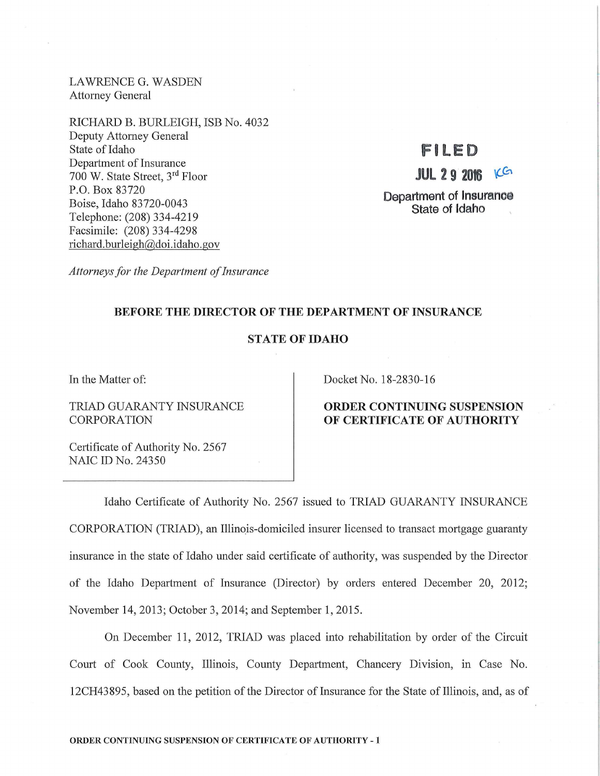LAWRENCE G. WASDEN Attorney General

RICHARD B. BURLEIGH, ISB No. 4032 Deputy Attorney General State of Idaho Department of Insurance 700 W. State Street, 3rd Floor P.O. Box 83720 Boise, Idaho 83720-0043 Telephone: (208) 334-4219 Facsimile: (208) 334-4298 richard. burleigh@doi.idaho.gov

# **F ILED**

**JUL 2 9 2016 KG** 

Department of Insurance State of Idaho

*Attorneys for the Department of Insurance* 

### BEFORE THE DIRECTOR OF THE DEPARTMENT OF INSURANCE

## STATE OF IDAHO

In the Matter of:

TRIAD GUARANTY INSURANCE CORPORATION

Certificate of Authority No. 2567 NAIC ID No. 24350

Docket No. 18-2830-16

### ORDER CONTINUING SUSPENSION OF CERTIFICATE OF AUTHORITY

Idaho Certificate of Authority No. 2567 issued to TRIAD GUARANTY INSURANCE CORPORATION (TRIAD), an Illinois-domiciled insurer licensed to transact mortgage guaranty insurance in the state of Idaho under said certificate of authority, was suspended by the Director of the Idaho Department of Insurance (Director) by orders entered December 20, 2012; November 14, 2013; October 3, 2014; and September 1, 2015.

On December 11, 2012, TRIAD was placed into rehabilitation by order of the Circuit Court of Cook County, Illinois, County Department, Chancery Division, in Case No. 12CH43895, based on the petition of the Director of Insurance for the State of Illinois, and, as of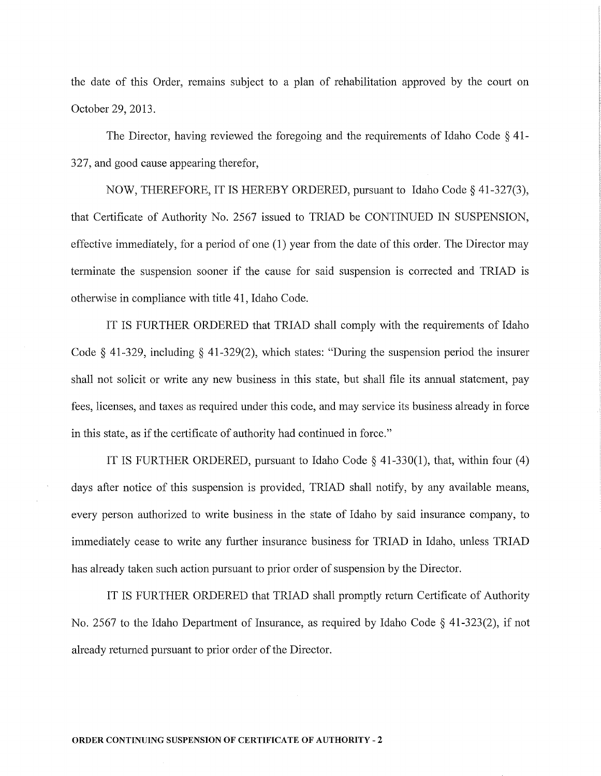the date of this Order, remains subject to a plan of rehabilitation approved by the court on October 29, 2013.

The Director, having reviewed the foregoing and the requirements of Idaho Code § 41- 327, and good cause appearing therefor,

NOW, THEREFORE, IT IS HEREBY ORDERED, pursuant to Idaho Code§ 41-327(3), that Certificate of Authority No. 2567 issued to TRIAD be CONTINUED IN SUSPENSION, effective immediately, for a period of one (1) year from the date of this order. The Director may terminate the suspension sooner if the cause for said suspension is corrected and TRIAD is otherwise in compliance with title 41, Idaho Code.

IT IS FURTHER ORDERED that TRIAD shall comply with the requirements of Idaho Code § 41-329, including § 41-329(2), which states: "During the suspension period the insurer shall not solicit or write any new business in this state, but shall file its annual statement, pay fees, licenses, and taxes as required under this code, and may service its business already in force in this state, as if the certificate of authority had continued in force."

IT IS FURTHER ORDERED, pursuant to Idaho Code  $\S$  41-330(1), that, within four (4) days after notice of this suspension is provided, TRIAD shall notify, by any available means, every person authorized to write business in the state of Idaho by said insurance company, to immediately cease to write any further insurance business for TRIAD in Idaho, unless TRIAD has already taken such action pursuant to prior order of suspension by the Director.

IT IS FURTHER ORDERED that TRIAD shall promptly return Certificate of Authority No. 2567 to the Idaho Department of Insurance, as required by Idaho Code § 41-323(2), if not already returned pursuant to prior order of the Director.

#### ORDER CONTINUING SUSPENSION OF CERTIFICATE OF AUTHORITY - 2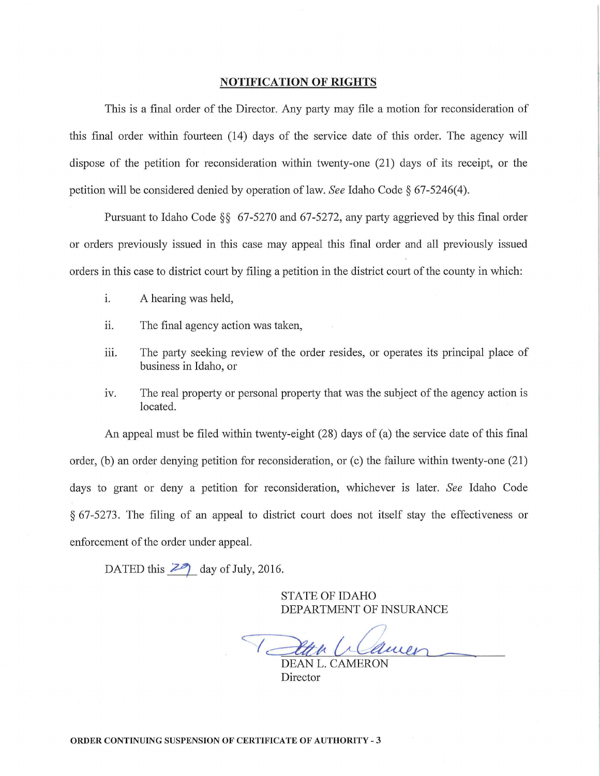#### **NOTIFICATION OF RIGHTS**

This is a final order of the Director. Any party may file a motion for reconsideration of this final order within fourteen (14) days of the service date of this order. The agency will dispose of the petition for reconsideration within twenty-one (21) days of its receipt, or the petition will be considered denied by operation oflaw. *See* Idaho Code§ 67-5246(4).

Pursuant to Idaho Code §§ 67-5270 and 67-5272, any party aggrieved by this final order or orders previously issued in this case may appeal this final order and all previously issued orders in this case to district court by filing a petition in the district court of the county in which:

- i. A hearing was held,
- ii. The final agency action was taken,
- iii. The party seeking review of the order resides, or operates its principal place of business in Idaho, or
- iv. The real property or personal property that was the subject of the agency action is located.

An appeal must be filed within twenty-eight (28) days of (a) the service date of this final order, (b) an order denying petition for reconsideration, or (c) the failure within twenty-one  $(21)$ days to grant or deny a petition for reconsideration, whichever is later. *See* Idaho Code  $§$  67-5273. The filing of an appeal to district court does not itself stay the effectiveness or enforcement of the order under appeal.

DATED this  $\overline{29}$  day of July, 2016.

STATE OF IDAHO DEPARTMENT OF INSURANCE

DEAN L. CAMERON

Director